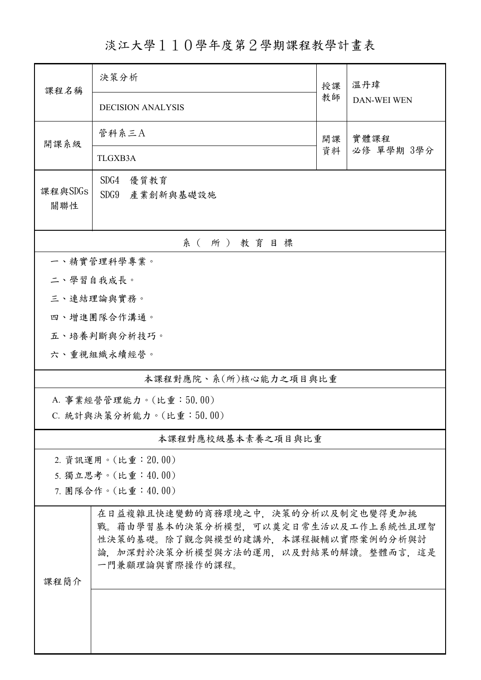淡江大學110學年度第2學期課程教學計畫表

| 課程名稱                    | 決策分析                                                                                                                                                                     |          | 溫丹瑋                |  |  |
|-------------------------|--------------------------------------------------------------------------------------------------------------------------------------------------------------------------|----------|--------------------|--|--|
|                         | <b>DECISION ANALYSIS</b>                                                                                                                                                 | 教師       | <b>DAN-WEI WEN</b> |  |  |
| 開課系級                    | 管科系三A                                                                                                                                                                    | 開課<br>資料 | 實體課程<br>必修 單學期 3學分 |  |  |
|                         | TLGXB3A                                                                                                                                                                  |          |                    |  |  |
| 課程與SDGs                 | SDG4<br>優質教育                                                                                                                                                             |          |                    |  |  |
| 關聯性                     | SDG9<br>產業創新與基礎設施                                                                                                                                                        |          |                    |  |  |
|                         |                                                                                                                                                                          |          |                    |  |  |
|                         | 系(所)教育目標                                                                                                                                                                 |          |                    |  |  |
| 一、精實管理科學專業。             |                                                                                                                                                                          |          |                    |  |  |
| 二、學習自我成長。               | 三、連結理論與實務。                                                                                                                                                               |          |                    |  |  |
|                         | 四、增進團隊合作溝通。                                                                                                                                                              |          |                    |  |  |
|                         | 五、培養判斷與分析技巧。                                                                                                                                                             |          |                    |  |  |
|                         | 六、重視組織永續經營。                                                                                                                                                              |          |                    |  |  |
| 本課程對應院、系(所)核心能力之項目與比重   |                                                                                                                                                                          |          |                    |  |  |
| A. 事業經營管理能力。(比重:50.00)  |                                                                                                                                                                          |          |                    |  |  |
| C. 統計與決策分析能力。(比重:50.00) |                                                                                                                                                                          |          |                    |  |  |
|                         | 本課程對應校級基本素養之項目與比重                                                                                                                                                        |          |                    |  |  |
|                         | 2. 資訊運用。(比重: 20.00)                                                                                                                                                      |          |                    |  |  |
|                         | 5. 獨立思考。(比重:40.00)                                                                                                                                                       |          |                    |  |  |
|                         | 7. 團隊合作。(比重:40.00)                                                                                                                                                       |          |                    |  |  |
| 課程簡介                    | 在日益複雜且快速變動的商務環境之中,決策的分析以及制定也變得更加挑<br>戰。藉由學習基本的決策分析模型,可以奠定日常生活以及工作上系統性且理智<br>性決策的基礎。除了觀念與模型的建講外,本課程擬輔以實際案例的分析與討<br>論,加深對於決策分析模型與方法的運用,以及對結果的解讀。整體而言,這是<br>一門兼顧理論與實際操作的課程。 |          |                    |  |  |
|                         |                                                                                                                                                                          |          |                    |  |  |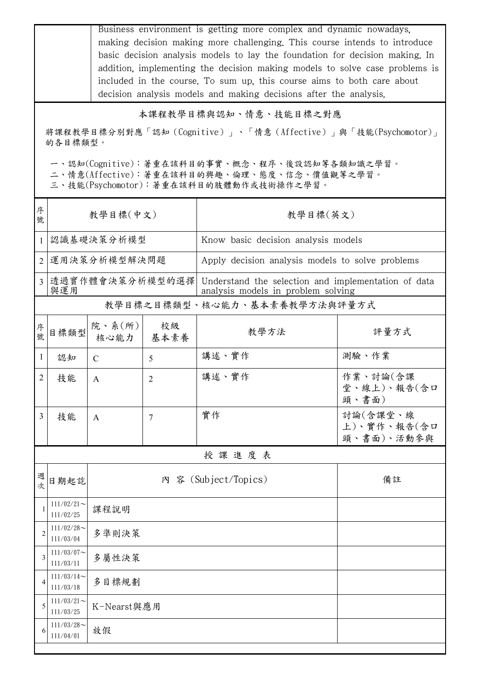|                |                                                                                                                                         |                                                                                                               |            | Business environment is getting more complex and dynamic nowadays.<br>making decision making more challenging. This course intends to introduce<br>basic decision analysis models to lay the foundation for decision making. In<br>addition, implementing the decision making models to solve case problems is<br>included in the course. To sum up, this course aims to both care about |                                       |  |  |  |
|----------------|-----------------------------------------------------------------------------------------------------------------------------------------|---------------------------------------------------------------------------------------------------------------|------------|------------------------------------------------------------------------------------------------------------------------------------------------------------------------------------------------------------------------------------------------------------------------------------------------------------------------------------------------------------------------------------------|---------------------------------------|--|--|--|
|                |                                                                                                                                         |                                                                                                               |            | decision analysis models and making decisions after the analysis.                                                                                                                                                                                                                                                                                                                        |                                       |  |  |  |
|                |                                                                                                                                         |                                                                                                               |            | 本課程教學目標與認知、情意、技能目標之對應                                                                                                                                                                                                                                                                                                                                                                    |                                       |  |  |  |
|                | 將課程教學目標分別對應「認知 (Cognitive)」、「情意 (Affective)」與「技能(Psychomotor)」<br>的各目標類型。                                                               |                                                                                                               |            |                                                                                                                                                                                                                                                                                                                                                                                          |                                       |  |  |  |
|                | 一、認知(Cognitive):著重在該科目的事實、概念、程序、後設認知等各類知識之學習。<br>二、情意(Affective):著重在該科目的興趣、倫理、態度、信念、價值觀等之學習。<br>三、技能(Psychomotor): 著重在該科目的肢體動作或技術操作之學習。 |                                                                                                               |            |                                                                                                                                                                                                                                                                                                                                                                                          |                                       |  |  |  |
| 序<br>號         | 教學目標(中文)                                                                                                                                |                                                                                                               |            | 教學目標(英文)                                                                                                                                                                                                                                                                                                                                                                                 |                                       |  |  |  |
| 1              |                                                                                                                                         | 認識基礎決策分析模型                                                                                                    |            | Know basic decision analysis models                                                                                                                                                                                                                                                                                                                                                      |                                       |  |  |  |
| 2              | 運用決策分析模型解決問題                                                                                                                            |                                                                                                               |            | Apply decision analysis models to solve problems                                                                                                                                                                                                                                                                                                                                         |                                       |  |  |  |
| 3 <sup>1</sup> | 與運用                                                                                                                                     | 透過實作體會決策分析模型的選擇 <br>Understand the selection and implementation of data<br>analysis models in problem solving |            |                                                                                                                                                                                                                                                                                                                                                                                          |                                       |  |  |  |
|                |                                                                                                                                         |                                                                                                               |            | 教學目標之目標類型、核心能力、基本素養教學方法與評量方式                                                                                                                                                                                                                                                                                                                                                             |                                       |  |  |  |
| 序<br>號         | 目標類型                                                                                                                                    | 院、系(所)<br>核心能力                                                                                                | 校級<br>基本素養 | 教學方法                                                                                                                                                                                                                                                                                                                                                                                     | 評量方式                                  |  |  |  |
| $\mathbf{1}$   | 認知                                                                                                                                      | $\mathcal{C}$                                                                                                 | 5          | 講述、實作                                                                                                                                                                                                                                                                                                                                                                                    | 測驗、作業                                 |  |  |  |
| $\overline{2}$ | 技能                                                                                                                                      | A                                                                                                             | 2          | 講述、實作                                                                                                                                                                                                                                                                                                                                                                                    | 作業、討論(含課<br>堂、線上)、報告(含口<br>頭、書面)      |  |  |  |
| 3              | 技能                                                                                                                                      | $\mathbf{A}$                                                                                                  | 7          | 實作                                                                                                                                                                                                                                                                                                                                                                                       | 討論(含課堂、線<br>上)、實作、報告(含口<br>頭、書面)、活動參與 |  |  |  |
|                |                                                                                                                                         |                                                                                                               |            | 授課進度表                                                                                                                                                                                                                                                                                                                                                                                    |                                       |  |  |  |
| 週<br>次         | 日期起訖                                                                                                                                    | 內 容 (Subject/Topics)<br>備註                                                                                    |            |                                                                                                                                                                                                                                                                                                                                                                                          |                                       |  |  |  |
| 1              | $111/02/21$ ~<br>111/02/25                                                                                                              | 課程說明                                                                                                          |            |                                                                                                                                                                                                                                                                                                                                                                                          |                                       |  |  |  |
| 2              | $111/02/28$ ~<br>111/03/04                                                                                                              | 多準則決策                                                                                                         |            |                                                                                                                                                                                                                                                                                                                                                                                          |                                       |  |  |  |
| 3              | $111/03/07$ ~<br>111/03/11                                                                                                              | 多屬性決策                                                                                                         |            |                                                                                                                                                                                                                                                                                                                                                                                          |                                       |  |  |  |
| 4              | $111/03/14$ ~<br>111/03/18                                                                                                              | 多目標規劃                                                                                                         |            |                                                                                                                                                                                                                                                                                                                                                                                          |                                       |  |  |  |
| 5              | $111/03/21$ ~<br>111/03/25                                                                                                              | K-Nearst與應用                                                                                                   |            |                                                                                                                                                                                                                                                                                                                                                                                          |                                       |  |  |  |
| 6              | $111/03/28$ ~<br>111/04/01                                                                                                              | 放假                                                                                                            |            |                                                                                                                                                                                                                                                                                                                                                                                          |                                       |  |  |  |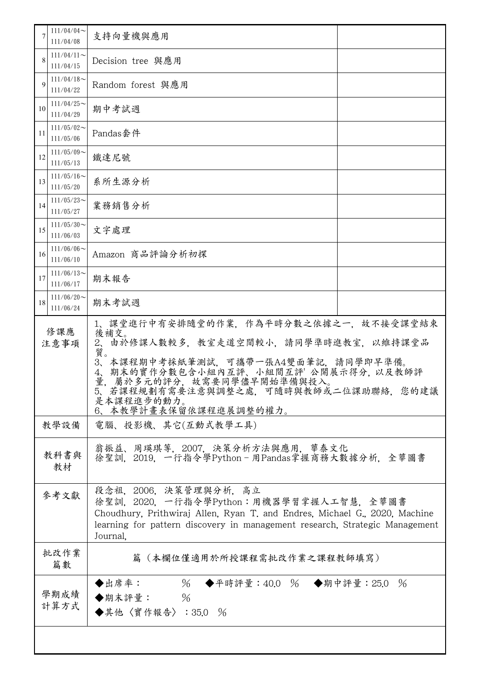|              | $111/04/04$ ~<br>111/04/08 | 支持向量機與應用                                                                                                                                                                                                                                                                                                             |  |  |
|--------------|----------------------------|----------------------------------------------------------------------------------------------------------------------------------------------------------------------------------------------------------------------------------------------------------------------------------------------------------------------|--|--|
| 8            | $111/04/11$ ~<br>111/04/15 | Decision tree 與應用                                                                                                                                                                                                                                                                                                    |  |  |
| 9            | $111/04/18$ ~<br>111/04/22 | Random forest 與應用                                                                                                                                                                                                                                                                                                    |  |  |
| 10           | $111/04/25$ ~<br>111/04/29 | 期中考試週                                                                                                                                                                                                                                                                                                                |  |  |
| 11           | $111/05/02$ ~<br>111/05/06 | Pandas套件                                                                                                                                                                                                                                                                                                             |  |  |
| 12           | $111/05/09$ ~<br>111/05/13 | 鐵達尼號                                                                                                                                                                                                                                                                                                                 |  |  |
| 13           | $111/05/16$ ~<br>111/05/20 | 系所生源分析                                                                                                                                                                                                                                                                                                               |  |  |
| 14           | $111/05/23$ ~<br>111/05/27 | 業務銷售分析                                                                                                                                                                                                                                                                                                               |  |  |
| 15           | $111/05/30$ ~<br>111/06/03 | 文字處理                                                                                                                                                                                                                                                                                                                 |  |  |
| 16           | $111/06/06$ ~<br>111/06/10 | Amazon 商品評論分析初探                                                                                                                                                                                                                                                                                                      |  |  |
| 17           | $111/06/13$ ~<br>111/06/17 | 期末報告                                                                                                                                                                                                                                                                                                                 |  |  |
| 18           | $111/06/20$ ~<br>111/06/24 | 期末考試週                                                                                                                                                                                                                                                                                                                |  |  |
| 修課應<br>注意事項  |                            | 1、課堂進行中有安排隨堂的作業,作為平時分數之依據之一,故不接受課堂結束<br>後補交。<br>由於修課人數較多,教室走道空間較小,請同學準時進教室,以維持課堂品<br>$2\sqrt{ }$<br>質。<br>本課程期中考採紙筆測試,可攜帶一張A4雙面筆記,請同學即早準備。<br>$3\sqrt{2}$<br>期末的實作分數包含小組內互評、小組間互評 公開展示得分, 以及教師評<br>4,<br>量<br>屬於多元的評分,故需要同學儘早開始準備與投入。<br>5、若課程規劃有需要注意與調整之處,可隨時與教師或二位課助聯絡,您的建議<br>是本課程進步的動力。<br>6、本教學計畫表保留依課程進展調整的權力。 |  |  |
| 教學設備         |                            | 電腦、投影機、其它(互動式教學工具)                                                                                                                                                                                                                                                                                                   |  |  |
| 教科書與<br>教材   |                            | 翁振益、周瑛琪等,2007,決策分析方法與應用,華泰文化<br>徐聖訓, 2019, 一行指令學Python-用Pandas掌握商務大數據分析, 全華圖書                                                                                                                                                                                                                                        |  |  |
| 參考文獻         |                            | 段念祖, 2006. 決策管理與分析, 高立<br>徐聖訓,2020,一行指令學Python:用機器學習掌握人工智慧,全華圖書<br>Choudhury, Prithwiraj Allen, Ryan T. and Endres, Michael G., 2020, Machine<br>learning for pattern discovery in management research, Strategic Management<br>Journal.                                                                             |  |  |
|              | 批改作業<br>篇數                 | 篇(本欄位僅適用於所授課程需批改作業之課程教師填寫)                                                                                                                                                                                                                                                                                           |  |  |
| 學期成績<br>計算方式 |                            | ◆出席率: 96 ◆平時評量:40.0 % ◆期中評量:25.0 %<br>$\%$<br>◆期末評量:<br>◆其他〈實作報告〉:35.0 %                                                                                                                                                                                                                                             |  |  |
|              |                            |                                                                                                                                                                                                                                                                                                                      |  |  |